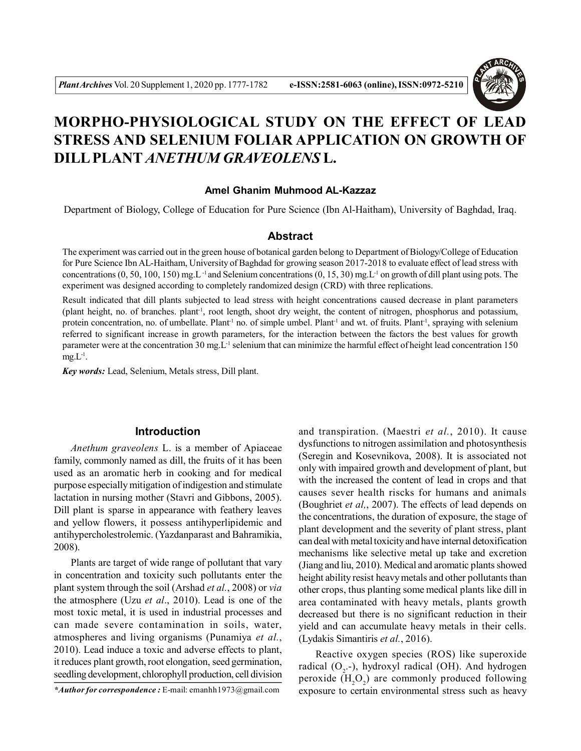

# **MORPHO-PHYSIOLOGICAL STUDY ON THE EFFECT OF LEAD STRESS AND SELENIUM FOLIAR APPLICATION ON GROWTH OF DILL PLANT***ANETHUM GRAVEOLENS* **L.**

#### **Amel Ghanim Muhmood AL-Kazzaz**

Department of Biology, College of Education for Pure Science (Ibn Al-Haitham), University of Baghdad, Iraq.

#### **Abstract**

The experiment was carried out in the green house of botanical garden belong to Department of Biology/College of Education for Pure Science Ibn AL-Haitham, University of Baghdad for growing season 2017-2018 to evaluate effect of lead stress with concentrations  $(0, 50, 100, 150)$  mg.L<sup>-1</sup> and Selenium concentrations  $(0, 15, 30)$  mg.L<sup>-1</sup> on growth of dill plant using pots. The experiment was designed according to completely randomized design (CRD) with three replications.

Result indicated that dill plants subjected to lead stress with height concentrations caused decrease in plant parameters (plant height, no. of branches. plant-1, root length, shoot dry weight, the content of nitrogen, phosphorus and potassium, protein concentration, no. of umbellate. Plant<sup>1</sup> no. of simple umbel. Plant<sup>1</sup> and wt. of fruits. Plant<sup>1</sup>, spraying with selenium referred to significant increase in growth parameters, for the interaction between the factors the best values for growth parameter were at the concentration 30 mg.L<sup>-1</sup> selenium that can minimize the harmful effect of height lead concentration 150  $mg.L<sup>-1</sup>$ .

*Key words:* Lead, Selenium, Metals stress, Dill plant.

#### **Introduction**

*Anethum graveolens* L. is a member of Apiaceae family, commonly named as dill, the fruits of it has been used as an aromatic herb in cooking and for medical purpose especially mitigation of indigestion and stimulate lactation in nursing mother (Stavri and Gibbons, 2005). Dill plant is sparse in appearance with feathery leaves and yellow flowers, it possess antihyperlipidemic and antihypercholestrolemic. (Yazdanparast and Bahramikia, 2008).

Plants are target of wide range of pollutant that vary in concentration and toxicity such pollutants enter the plant system through the soil (Arshad *et al.*, 2008) or *via* the atmosphere (Uzu *et al*., 2010). Lead is one of the most toxic metal, it is used in industrial processes and can made severe contamination in soils, water, atmospheres and living organisms (Punamiya *et al.*, 2010). Lead induce a toxic and adverse effects to plant, it reduces plant growth, root elongation, seed germination, seedling development, chlorophyll production, cell division

*\*Author for correspondence :* E-mail: emanhh1973@gmail.com

and transpiration. (Maestri *et al.*, 2010). It cause dysfunctions to nitrogen assimilation and photosynthesis (Seregin and Kosevnikova, 2008). It is associated not only with impaired growth and development of plant, but with the increased the content of lead in crops and that causes sever health riscks for humans and animals (Boughriet *et al,*, 2007). The effects of lead depends on the concentrations, the duration of exposure, the stage of plant development and the severity of plant stress, plant can deal with metal toxicity and have internal detoxification mechanisms like selective metal up take and excretion (Jiang and liu, 2010). Medical and aromatic plants showed height ability resist heavy metals and other pollutants than other crops, thus planting some medical plants like dill in area contaminated with heavy metals, plants growth decreased but there is no significant reduction in their yield and can accumulate heavy metals in their cells. (Lydakis Simantiris *et al.*, 2016).

Reactive oxygen species (ROS) like superoxide radical  $(O_2$ -), hydroxyl radical (OH). And hydrogen peroxide  $(H_2O_2)$  are commonly produced following exposure to certain environmental stress such as heavy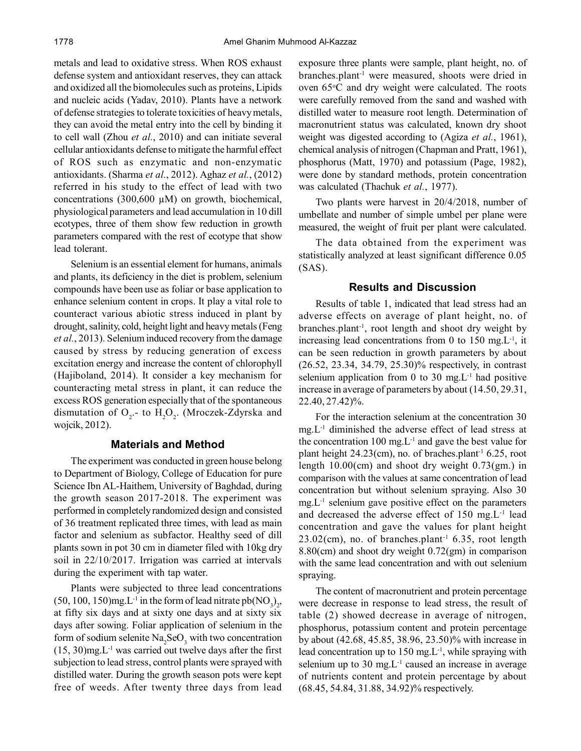metals and lead to oxidative stress. When ROS exhaust defense system and antioxidant reserves, they can attack and oxidized all the biomolecules such as proteins, Lipids and nucleic acids (Yadav, 2010). Plants have a network of defense strategies to tolerate toxicities of heavy metals, they can avoid the metal entry into the cell by binding it to cell wall (Zhou *et al.*, 2010) and can initiate several cellular antioxidants defense to mitigate the harmful effect of ROS such as enzymatic and non-enzymatic antioxidants. (Sharma *et al.*, 2012). Aghaz *et al.*, (2012) referred in his study to the effect of lead with two concentrations (300,600 µM) on growth, biochemical, physiological parameters and lead accumulation in 10 dill ecotypes, three of them show few reduction in growth parameters compared with the rest of ecotype that show lead tolerant.

Selenium is an essential element for humans, animals and plants, its deficiency in the diet is problem, selenium compounds have been use as foliar or base application to enhance selenium content in crops. It play a vital role to counteract various abiotic stress induced in plant by drought, salinity, cold, height light and heavy metals (Feng *et al.*, 2013). Selenium induced recovery from the damage caused by stress by reducing generation of excess excitation energy and increase the content of chlorophyll (Hajiboland, 2014). It consider a key mechanism for counteracting metal stress in plant, it can reduce the excess ROS generation especially that of the spontaneous dismutation of  $O_2$ - to  $H_2O_2$ . (Mroczek-Zdyrska and wojcik, 2012).

### **Materials and Method**

The experiment was conducted in green house belong to Department of Biology, College of Education for pure Science Ibn AL-Haithem, University of Baghdad, during the growth season 2017-2018. The experiment was performed in completely randomized design and consisted of 36 treatment replicated three times, with lead as main factor and selenium as subfactor. Healthy seed of dill plants sown in pot 30 cm in diameter filed with 10kg dry soil in 22/10/2017. Irrigation was carried at intervals during the experiment with tap water.

Plants were subjected to three lead concentrations  $(50, 100, 150)$ mg.L<sup>-1</sup> in the form of lead nitrate pb(NO<sub>3</sub>)<sub>2</sub>, at fifty six days and at sixty one days and at sixty six days after sowing. Foliar application of selenium in the form of sodium selenite  $\text{Na}_2\text{SeO}_3$  with two concentration  $(15, 30)$ mg.L<sup>-1</sup> was carried out twelve days after the first subjection to lead stress, control plants were sprayed with distilled water. During the growth season pots were kept free of weeds. After twenty three days from lead exposure three plants were sample, plant height, no. of branches.plant-1 were measured, shoots were dried in oven 65°C and dry weight were calculated. The roots were carefully removed from the sand and washed with distilled water to measure root length. Determination of macronutrient status was calculated, known dry shoot weight was digested according to (Agiza *et al.*, 1961), chemical analysis of nitrogen (Chapman and Pratt, 1961), phosphorus (Matt, 1970) and potassium (Page, 1982), were done by standard methods, protein concentration was calculated (Thachuk *et al.*, 1977).

Two plants were harvest in 20/4/2018, number of umbellate and number of simple umbel per plane were measured, the weight of fruit per plant were calculated.

The data obtained from the experiment was statistically analyzed at least significant difference 0.05 (SAS).

# **Results and Discussion**

Results of table 1, indicated that lead stress had an adverse effects on average of plant height, no. of branches.plant-1, root length and shoot dry weight by increasing lead concentrations from 0 to 150 mg. $L<sup>-1</sup>$ , it can be seen reduction in growth parameters by about (26.52, 23.34, 34.79, 25.30)% respectively, in contrast selenium application from 0 to 30 mg. $L^{-1}$  had positive increase in average of parameters by about (14.50, 29.31, 22.40, 27.42)%.

For the interaction selenium at the concentration 30  $mg.L^{-1}$  diminished the adverse effect of lead stress at the concentration 100 mg. $L^{-1}$  and gave the best value for plant height  $24.23$ (cm), no. of braches.plant<sup>-1</sup> 6.25, root length 10.00(cm) and shoot dry weight 0.73(gm.) in comparison with the values at same concentration of lead concentration but without selenium spraying. Also 30  $mg.L^{-1}$  selenium gave positive effect on the parameters and decreased the adverse effect of 150 mg.L-1 lead concentration and gave the values for plant height  $23.02$ (cm), no. of branches.plant<sup>-1</sup> 6.35, root length 8.80(cm) and shoot dry weight 0.72(gm) in comparison with the same lead concentration and with out selenium spraying.

The content of macronutrient and protein percentage were decrease in response to lead stress, the result of table (2) showed decrease in average of nitrogen, phosphorus, potassium content and protein percentage by about (42.68, 45.85, 38.96, 23.50)% with increase in lead concentration up to  $150 \text{ mg.L}^{-1}$ , while spraying with selenium up to 30 mg. $L^{-1}$  caused an increase in average of nutrients content and protein percentage by about (68.45, 54.84, 31.88, 34.92)% respectively.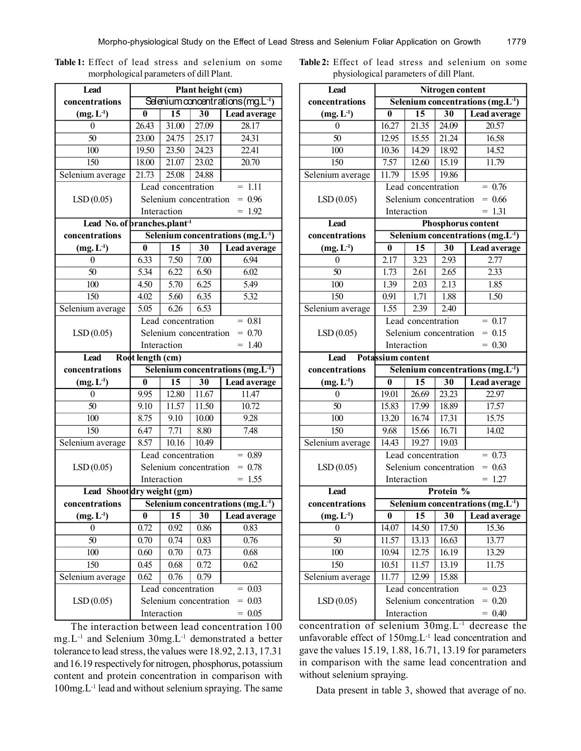| <b>Lead</b>                  | Plant height (cm)                                                             |                    |                        |                                       |  |  |  |
|------------------------------|-------------------------------------------------------------------------------|--------------------|------------------------|---------------------------------------|--|--|--|
| concentrations               | Selenium concentrations (mg.L <sup>-1</sup> )                                 |                    |                        |                                       |  |  |  |
| $(mg, L-1)$                  | $\bf{0}$                                                                      | $\overline{15}$    | $\overline{30}$        | <b>Lead average</b>                   |  |  |  |
| 0                            | 26.43                                                                         | 31.00              | 27.09                  | 28.17                                 |  |  |  |
| $\overline{50}$              | 23.00                                                                         | 24.75              | 25.17                  | 24.31                                 |  |  |  |
| $\overline{100}$             | 19.50                                                                         | 23.50              | 24.23                  | 22.41                                 |  |  |  |
| 150                          | 18.00                                                                         | 21.07              | 23.02                  | 20.70                                 |  |  |  |
| Selenium average             | 21.73                                                                         | 25.08              | 24.88                  |                                       |  |  |  |
|                              |                                                                               | Lead concentration |                        | $= 1.11$                              |  |  |  |
| LSD(0.05)                    |                                                                               |                    | Selenium concentration | $= 0.96$                              |  |  |  |
|                              |                                                                               | Interaction        | 1.92                   |                                       |  |  |  |
| Lead No. of pranches.plant-1 |                                                                               |                    |                        |                                       |  |  |  |
| concentrations               |                                                                               |                    |                        | Selenium concentrations $(mg.L^{-1})$ |  |  |  |
| $(mg, L-1)$                  | $\overline{\mathbf{0}}$                                                       | $\overline{15}$    | $\overline{30}$        | <b>Lead average</b>                   |  |  |  |
| $\theta$                     | 6.33                                                                          | 7.50               | 7.00                   | 6.94                                  |  |  |  |
| $\overline{50}$              | 5.34                                                                          | 6.22               | 6.50                   | 6.02                                  |  |  |  |
| 100                          | 4.50                                                                          | 5.70               | 6.25                   | 5.49                                  |  |  |  |
| 150                          | 4.02                                                                          | 5.60               | 6.35                   | 5.32                                  |  |  |  |
| Selenium average             | 5.05                                                                          | 6.26               | 6.53                   |                                       |  |  |  |
|                              |                                                                               | Lead concentration |                        | $= 0.81$                              |  |  |  |
| LSD(0.05)                    |                                                                               |                    | Selenium concentration | $= 0.70$                              |  |  |  |
|                              | Interaction<br>1.40                                                           |                    |                        |                                       |  |  |  |
| <b>Lead</b>                  | Root length (cm)                                                              |                    |                        |                                       |  |  |  |
| concentrations               |                                                                               |                    |                        | Selenium concentrations $(mg.L^{-1})$ |  |  |  |
| $(mg, L^{-1})$               | $\bf{0}$                                                                      | $\overline{15}$    | $\overline{30}$        | <b>Lead average</b>                   |  |  |  |
| $\theta$                     | 9.95                                                                          | 12.80              | 11.67                  | 11.47                                 |  |  |  |
| $\overline{50}$              | 9.10                                                                          | 11.57              | 11.50                  | 10.72                                 |  |  |  |
| 100                          | 8.75                                                                          | 9.10               | 10.00                  | 9.28                                  |  |  |  |
| $\overline{150}$             | 6.47                                                                          | 7.71               | 8.80                   | 7.48                                  |  |  |  |
| Selenium average             | 8.57                                                                          | 10.16              | 10.49                  |                                       |  |  |  |
|                              | Lead concentration<br>$= 0.89$                                                |                    |                        |                                       |  |  |  |
| LSD(0.05)                    | $= 0.78$<br>Selenium concentration                                            |                    |                        |                                       |  |  |  |
|                              |                                                                               | Interaction        | $= 1.55$               |                                       |  |  |  |
| Lead Shootdry weight (gm)    |                                                                               |                    |                        |                                       |  |  |  |
|                              | concentrations<br>$\sqrt{\phantom{a}}$ Selenium concentrations $(mg, L^{-1})$ |                    |                        |                                       |  |  |  |
| $(mg, L^{-1})$               | $\bf{0}$                                                                      | 15                 | 30                     | Lead average                          |  |  |  |
| 0                            | 0.72                                                                          | 0.92               | 0.86                   | 0.83                                  |  |  |  |
| 50                           | 0.70                                                                          | 0.74               | 0.83                   | 0.76                                  |  |  |  |
| 100                          | 0.60                                                                          | 0.70               | 0.73                   | 0.68                                  |  |  |  |
| 150                          |                                                                               |                    |                        |                                       |  |  |  |
|                              | 0.45                                                                          | 0.68               | 0.72                   | 0.62                                  |  |  |  |
| Selenium average             | 0.62                                                                          | 0.76               | 0.79                   |                                       |  |  |  |
|                              |                                                                               | Lead concentration |                        | 0.03                                  |  |  |  |
| LSD(0.05)                    |                                                                               | Interaction        | Selenium concentration | $= 0.03$<br>$= 0.05$                  |  |  |  |

**Table 1:** Effect of lead stress and selenium on some morphological parameters of dill Plant.

**Table 2:** Effect of lead stress and selenium on some physiological parameters of dill Plant.

| <b>Lead</b>      | Nitrogen content                              |                    |                        |                                               |  |  |
|------------------|-----------------------------------------------|--------------------|------------------------|-----------------------------------------------|--|--|
| concentrations   | Selenium concentrations (mg.L <sup>-1</sup> ) |                    |                        |                                               |  |  |
| $(mg, L^{-1})$   | $\bf{0}$                                      | $\overline{15}$    | $\overline{30}$        | Lead average                                  |  |  |
| $\boldsymbol{0}$ | 16.27                                         | 21.35              | 24.09                  | 20.57                                         |  |  |
| $\overline{50}$  | 12.95                                         | 15.55              | 21.24                  | 16.58                                         |  |  |
| 100              | 10.36                                         | 14.29              | 18.92                  | 14.52                                         |  |  |
| 150              | 7.57                                          | 12.60              | 15.19                  | 11.79                                         |  |  |
| Selenium average | 11.79                                         | 15.95              | 19.86                  |                                               |  |  |
|                  | Lead concentration<br>$= 0.76$                |                    |                        |                                               |  |  |
| LSD(0.05)        | $= 0.66$<br>Selenium concentration            |                    |                        |                                               |  |  |
|                  | 1.31<br>Interaction<br>$=$                    |                    |                        |                                               |  |  |
| <b>Lead</b>      |                                               |                    |                        | <b>Phosphorus content</b>                     |  |  |
| concentrations   |                                               |                    |                        | Selenium concentrations (mg.L <sup>-1</sup> ) |  |  |
| $(mg, L^{-1})$   | $\bf{0}$                                      | $\overline{15}$    | $\overline{30}$        | <b>Lead average</b>                           |  |  |
| 0                | 2.17                                          | 3.23               | 2.93                   | 2.77                                          |  |  |
| $\overline{50}$  | 1.73                                          | $\overline{2.61}$  | 2.65                   | $\overline{2.33}$                             |  |  |
| 100              | 1.39                                          | 2.03               | 2.13                   | 1.85                                          |  |  |
| 150              | 0.91                                          | 1.71               | 1.88                   | 1.50                                          |  |  |
| Selenium average | 1.55                                          | 2.39               | 2.40                   |                                               |  |  |
|                  | Lead concentration<br>$= 0.17$                |                    |                        |                                               |  |  |
| LSD(0.05)        | Selenium concentration<br>$= 0.15$            |                    |                        |                                               |  |  |
|                  |                                               | Interaction        | $= 0.30$               |                                               |  |  |
| <b>Lead</b>      | Potassium content                             |                    |                        |                                               |  |  |
| concentrations   | Selenium concentrations $(mg.L^{-1})$         |                    |                        |                                               |  |  |
| $(mg, L^{-1})$   | $\bf{0}$                                      | 15                 | 30                     | <b>Lead average</b>                           |  |  |
| 0                | 19.01                                         | 26.69              | 23.23                  | $22.\overline{97}$                            |  |  |
| 50               | 15.83                                         | 17.99              | 18.89                  | 17.57                                         |  |  |
| 100              | 13.20                                         | 16.74              | 17.31                  | 15.75                                         |  |  |
| 150              | 9.68                                          | 15.66              | 16.71                  | 14.02                                         |  |  |
| Selenium average | 14.43                                         | 19.27              | 19.03                  |                                               |  |  |
|                  | Lead concentration<br>$= 0.73$                |                    |                        |                                               |  |  |
| LSD(0.05)        | Selenium concentration<br>$= 0.63$            |                    |                        |                                               |  |  |
|                  | Interaction<br>1.27<br>$=$                    |                    |                        |                                               |  |  |
| Lead             | Protein %                                     |                    |                        |                                               |  |  |
| concentrations   | Selenium concentrations (mg.L <sup>-1</sup> ) |                    |                        |                                               |  |  |
| $(mg, L-1)$      | $\bf{0}$                                      | 15                 | 30                     | Lead average                                  |  |  |
| 0                | 14.07                                         | 14.50              | 17.50                  | 15.36                                         |  |  |
| 50               | 11.57                                         | 13.13              | 16.63                  | 13.77                                         |  |  |
| 100              | 10.94                                         | 12.75              | 16.19                  | 13.29                                         |  |  |
| 150              | 10.51                                         | 11.57              | 13.19                  | 11.75                                         |  |  |
| Selenium average | 11.77                                         | 12.99              | 15.88                  |                                               |  |  |
|                  |                                               |                    |                        |                                               |  |  |
|                  |                                               | Lead concentration |                        | 0.23<br>$=$                                   |  |  |
| LSD(0.05)        |                                               | Interaction        | Selenium concentration | $= 0.20$<br>$= 0.40$                          |  |  |

The interaction between lead concentration 100 mg.L-1 and Selenium 30mg.L-1 demonstrated a better tolerance to lead stress, the values were 18.92, 2.13, 17.31 and 16.19 respectively for nitrogen, phosphorus, potassium content and protein concentration in comparison with 100mg.L-1 lead and without selenium spraying. The same concentration of selenium 30mg.L-1 decrease the unfavorable effect of 150mg.L<sup>-1</sup> lead concentration and gave the values 15.19, 1.88, 16.71, 13.19 for parameters in comparison with the same lead concentration and without selenium spraying.

Data present in table 3, showed that average of no.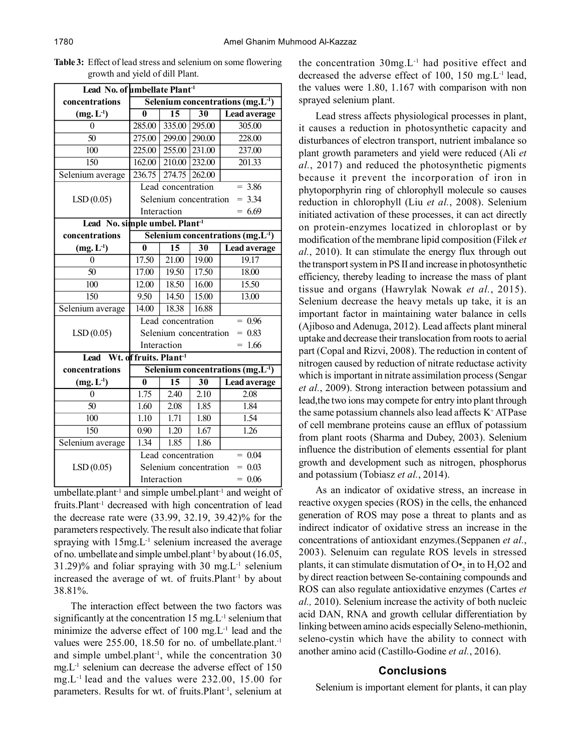| Lead No. of umbellate Plant <sup>1</sup>   |                                                                      |                    |                        |                     |  |  |  |
|--------------------------------------------|----------------------------------------------------------------------|--------------------|------------------------|---------------------|--|--|--|
| concentrations                             | Selenium concentrations $(mg.L^{-1})$                                |                    |                        |                     |  |  |  |
| $(mg, L^{-1})$                             | 0                                                                    | 15                 | $\overline{30}$        | <b>Lead average</b> |  |  |  |
| 0                                          | 285.00                                                               | 335.00             | 295.00                 | 305.00              |  |  |  |
| $\overline{50}$                            | 275.00                                                               | 299.00 290.00      |                        | 228.00              |  |  |  |
| $\overline{100}$                           | 225.00                                                               | 255.00 231.00      |                        | 237.00              |  |  |  |
| 150                                        | 162.00                                                               | 210.00 232.00      |                        | 201.33              |  |  |  |
| Selenium average                           | 236.75                                                               | 274.75 262.00      |                        |                     |  |  |  |
|                                            |                                                                      | Lead concentration |                        | $= 3.86$            |  |  |  |
| LSD(0.05)                                  |                                                                      |                    | Selenium concentration | $= 3.34$            |  |  |  |
|                                            | Interaction                                                          |                    |                        | $= 6.69$            |  |  |  |
| Lead No. simple umbel. Plant <sup>-1</sup> |                                                                      |                    |                        |                     |  |  |  |
| concentrations                             | Selenium concentrations (mg.L <sup>-1</sup> )                        |                    |                        |                     |  |  |  |
| $(mg, L^{-1})$                             | 0                                                                    | 15                 | 30                     | <b>Lead average</b> |  |  |  |
| 0                                          | 17.50                                                                | 21.00              | 19.00                  | 19.17               |  |  |  |
| $\overline{50}$                            | 17.00                                                                | 19.50              | 17.50                  | 18.00               |  |  |  |
| $\overline{100}$                           | 12.00                                                                | 18.50              | 16.00                  | 15.50               |  |  |  |
| 150                                        | 9.50                                                                 | 14.50              | 15.00                  | 13.00               |  |  |  |
| Selenium average                           | 14.00                                                                | 18.38              | 16.88                  |                     |  |  |  |
|                                            | Lead concentration<br>$= 0.96$<br>$= 0.83$<br>Selenium concentration |                    |                        |                     |  |  |  |
| LSD(0.05)                                  |                                                                      |                    |                        |                     |  |  |  |
|                                            | Interaction                                                          |                    |                        | 1.66                |  |  |  |
| Lead Wt. of fruits. Plant <sup>-1</sup>    |                                                                      |                    |                        |                     |  |  |  |
| concentrations                             | Selenium concentrations (mg.L <sup>-1</sup> )                        |                    |                        |                     |  |  |  |
| $(mg, L-1)$                                | $\overline{\mathbf{0}}$                                              | $\overline{15}$    | $\overline{30}$        | <b>Lead average</b> |  |  |  |
| $\theta$                                   | 1.75                                                                 | 2.40               | 2.10                   | 2.08                |  |  |  |
| $\overline{50}$                            | 1.60                                                                 | 2.08               | 1.85                   | 1.84                |  |  |  |
| 100                                        | 1.10                                                                 | 1.71               | 1.80                   | 1.54                |  |  |  |
| 150                                        | 0.90                                                                 | 1.20               | 1.67                   | 1.26                |  |  |  |
| Selenium average                           | 1.34                                                                 | 1.85               | 1.86                   |                     |  |  |  |
|                                            | 0.04<br>Lead concentration                                           |                    |                        |                     |  |  |  |
| LSD(0.05)                                  | Selenium concentration<br>$= 0.03$                                   |                    |                        |                     |  |  |  |
|                                            | Interaction                                                          |                    |                        | $= 0.06$            |  |  |  |

**Table 3:** Effect of lead stress and selenium on some flowering growth and yield of dill Plant.

umbellate.plant<sup>-1</sup> and simple umbel.plant<sup>-1</sup> and weight of fruits.Plant-1 decreased with high concentration of lead the decrease rate were (33.99, 32.19, 39.42)% for the parameters respectively. The result also indicate that foliar spraying with 15mg.L<sup>-1</sup> selenium increased the average of no. umbellate and simple umbel.plant<sup>-1</sup> by about (16.05,  $31.29\%$  and foliar spraying with 30 mg. L<sup>-1</sup> selenium increased the average of wt. of fruits.Plant<sup>-1</sup> by about 38.81%.

The interaction effect between the two factors was significantly at the concentration  $15 \text{ mg}$ . L<sup>-1</sup> selenium that minimize the adverse effect of  $100 \text{ mg}$ . L<sup>-1</sup> lead and the values were 255.00, 18.50 for no. of umbellate.plant.<sup>-1</sup> and simple umbel.plant<sup>-1</sup>, while the concentration  $30$ mg.L-1 selenium can decrease the adverse effect of 150 mg.L-1 lead and the values were 232.00, 15.00 for parameters. Results for wt. of fruits. Plant<sup>-1</sup>, selenium at the concentration 30mg.L-1 had positive effect and decreased the adverse effect of 100, 150 mg.L-1 lead, the values were 1.80, 1.167 with comparison with non sprayed selenium plant.

Lead stress affects physiological processes in plant, it causes a reduction in photosynthetic capacity and disturbances of electron transport, nutrient imbalance so plant growth parameters and yield were reduced (Ali *et al.*, 2017) and reduced the photosynthetic pigments because it prevent the incorporation of iron in phytoporphyrin ring of chlorophyll molecule so causes reduction in chlorophyll (Liu *et al.*, 2008). Selenium initiated activation of these processes, it can act directly on protein-enzymes locatized in chloroplast or by modification of the membrane lipid composition (Filek *et al.*, 2010). It can stimulate the energy flux through out the transport system in PS II and increase in photosynthetic efficiency, thereby leading to increase the mass of plant tissue and organs (Hawrylak Nowak *et al.*, 2015). Selenium decrease the heavy metals up take, it is an important factor in maintaining water balance in cells (Ajiboso and Adenuga, 2012). Lead affects plant mineral uptake and decrease their translocation from roots to aerial part (Copal and Rizvi, 2008). The reduction in content of nitrogen caused by reduction of nitrate reductase activity which is important in nitrate assimilation process (Sengar *et al.*, 2009). Strong interaction between potassium and lead,the two ions may compete for entry into plant through the same potassium channels also lead affects K<sup>+</sup> ATPase of cell membrane proteins cause an efflux of potassium from plant roots (Sharma and Dubey, 2003). Selenium influence the distribution of elements essential for plant growth and development such as nitrogen, phosphorus and potassium (Tobiasz *et al.*, 2014).

As an indicator of oxidative stress, an increase in reactive oxygen species (ROS) in the cells, the enhanced generation of ROS may pose a threat to plants and as indirect indicator of oxidative stress an increase in the concentrations of antioxidant enzymes.(Seppanen *et al.*, 2003). Selenuim can regulate ROS levels in stressed plants, it can stimulate dismutation of  $O_{2}^{\bullet}$  in to  $H_{2}O2$  and by direct reaction between Se-containing compounds and ROS can also regulate antioxidative enzymes (Cartes *et al.,* 2010). Selenium increase the activity of both nucleic acid DAN, RNA and growth cellular differentiation by linking between amino acids especially Seleno-methionin, seleno-cystin which have the ability to connect with another amino acid (Castillo-Godine *et al.*, 2016).

#### **Conclusions**

Selenium is important element for plants, it can play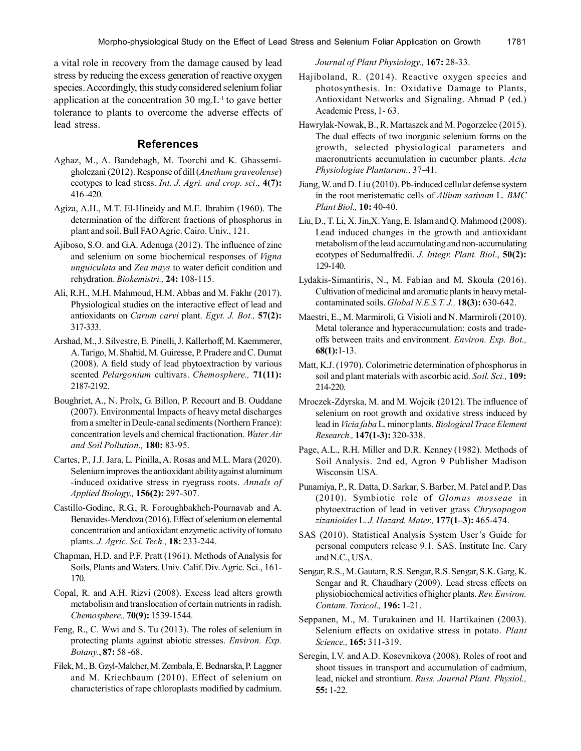a vital role in recovery from the damage caused by lead stress by reducing the excess generation of reactive oxygen species. Accordingly, this study considered selenium foliar application at the concentration 30 mg. $L<sup>-1</sup>$  to gave better tolerance to plants to overcome the adverse effects of lead stress.

# **References**

- Aghaz, M., A. Bandehagh, M. Toorchi and K. Ghassemigholezani (2012). Response of dill (*Anethum graveolense*) ecotypes to lead stress. *Int. J. Agri. and crop. sci*., **4(7):** 416 -420.
- Agiza, A.H., M.T. El-Hineidy and M.E. Ibrahim (1960). The determination of the different fractions of phosphorus in plant and soil. Bull FAO Agric. Cairo. Univ., 121.
- Ajiboso, S.O. and G.A. Adenuga (2012). The influence of zinc and selenium on some biochemical responses of *Vigna unguiculata* and *Zea mays* to water deficit condition and rehydration. *Biokemistri.,* **24:** 108-115.
- Ali, R.H., M.H. Mahmoud, H.M. Abbas and M. Fakhr (2017). Physiological studies on the interactive effect of lead and antioxidants on *Carum carvi* plant. *Egyt. J. Bot.,* **57(2):** 317-333.
- Arshad, M., J. Silvestre, E. Pinelli, J. Kallerhoff, M. Kaemmerer, A. Tarigo, M. Shahid, M. Guiresse, P. Pradere and C. Dumat (2008). A field study of lead phytoextraction by various scented *Pelargonium* cultivars. *Chemosphere.,* **71(11):** 2187-2192.
- Boughriet, A., N. Prolx, G. Billon, P. Recourt and B. Ouddane (2007). Environmental Impacts of heavy metal discharges from a smelter in Deule-canal sediments (Northern France): concentration levels and chemical fractionation. *Water Air and Soil Pollution.,* **180:** 83-95.
- Cartes, P., J.J. Jara, L. Pinilla, A. Rosas and M.L. Mara (2020). Selenium improves the antioxidant ability against aluminum -induced oxidative stress in ryegrass roots. *Annals of Applied Biology.,* **156(2):** 297-307.
- Castillo-Godine, R.G., R. Foroughbakhch-Pournavab and A. Benavides-Mendoza (2016). Effect of selenium on elemental concentration and antioxidant enzymetic activity of tomato plants. *J. Agric. Sci. Tech.,* **18:** 233-244.
- Chapman, H.D. and P.F. Pratt (1961). Methods of Analysis for Soils, Plants and Waters. Univ. Calif. Div. Agric. Sci., 161- 170.
- Copal, R. and A.H. Rizvi (2008). Excess lead alters growth metabolism and translocation of certain nutrients in radish. *Chemosphere.,* **70(9):** 1539-1544.
- Feng, R., C. Wwi and S. Tu (2013). The roles of selenium in protecting plants against abiotic stresses. *Environ. Exp. Botany.*, **87:** 58 -68.
- Filek, M., B. Gzyl-Malcher, M. Zembala, E. Bednarska, P. Laggner and M. Kriechbaum (2010). Effect of selenium on characteristics of rape chloroplasts modified by cadmium.

*Journal of Plant Physiology.,* **167:** 28-33.

- Hajiboland, R. (2014). Reactive oxygen species and photosynthesis. In: Oxidative Damage to Plants, Antioxidant Networks and Signaling. Ahmad P (ed.) Academic Press, 1- 63.
- Hawrylak-Nowak, B., R. Martaszek and M. Pogorzelec (2015). The dual effects of two inorganic selenium forms on the growth, selected physiological parameters and macronutrients accumulation in cucumber plants. *Acta Physiologiae Plantarum.*, 37-41.
- Jiang, W. and D. Liu (2010). Pb-induced cellular defense system in the root meristematic cells of *Allium sativum* L. *BMC Plant Biol.,* **10:** 40-40.
- Liu, D., T. Li, X. Jin,X. Yang, E. Islam and Q. Mahmood (2008). Lead induced changes in the growth and antioxidant metabolism of the lead accumulating and non-accumulating ecotypes of Sedumalfredii. *J. Integr. Plant. Biol*., **50(2):** 129-140.
- Lydakis-Simantiris, N., M. Fabian and M. Skoula (2016). Cultivation of medicinal and aromatic plants in heavy metalcontaminated soils. *Global N.E.S.T. J.,* **18(3):** 630-642.
- Maestri, E., M. Marmiroli, G. Visioli and N. Marmiroli (2010). Metal tolerance and hyperaccumulation: costs and tradeoffs between traits and environment. *Environ. Exp. Bot.,* **68(1):**1-13.
- Matt, K.J. (1970). Colorimetric determination of phosphorus in soil and plant materials with ascorbic acid. *Soil. Sci.,* **109:** 214-220.
- Mroczek-Zdyrska, M. and M. Wojcik (2012). The influence of selenium on root growth and oxidative stress induced by lead in *Vicia faba* L. minor plants. *Biological Trace Element Research.,* **147(1-3):** 320-338.
- Page, A.L., R.H. Miller and D.R. Kenney (1982). Methods of Soil Analysis. 2nd ed, Agron 9 Publisher Madison Wisconsin USA.
- Punamiya, P., R. Datta, D. Sarkar, S. Barber, M. Patel and P. Das (2010). Symbiotic role of *Glomus mosseae* in phytoextraction of lead in vetiver grass *Chrysopogon zizanioides* L. *J. Hazard. Mater.,* **177(1–3):** 465-474.
- SAS (2010). Statistical Analysis System User's Guide for personal computers release 9.1. SAS. Institute Inc. Cary and N.C., USA.
- Sengar, R.S., M. Gautam, R.S. Sengar, R.S. Sengar, S.K. Garg, K. Sengar and R. Chaudhary (2009). Lead stress effects on physiobiochemical activities of higher plants. *Rev. Environ. Contam. Toxicol.,* **196:** 1-21.
- Seppanen, M., M. Turakainen and H. Hartikainen (2003). Selenium effects on oxidative stress in potato. *Plant Science.,* **165:** 311-319.
- Seregin, I.V. and A.D. Kosevnikova (2008). Roles of root and shoot tissues in transport and accumulation of cadmium, lead, nickel and strontium. *Russ. Journal Plant. Physiol.,* **55:** 1-22.